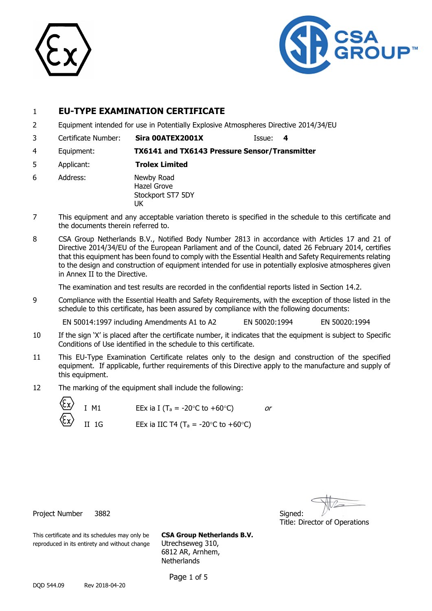



# 1 **EU-TYPE EXAMINATION CERTIFICATE**

- 2 Equipment intended for use in Potentially Explosive Atmospheres Directive 2014/34/EU
- 3 Certificate Number: **Sira 00ATEX2001X** Issue: **4**

4 Equipment: **TX6141 and TX6143 Pressure Sensor/Transmitter**

- 5 Applicant: **Trolex Limited**
- 6 Address: Newby Road Hazel Grove Stockport ST7 5DY UK
- 7 This equipment and any acceptable variation thereto is specified in the schedule to this certificate and the documents therein referred to.
- 8 CSA Group Netherlands B.V., Notified Body Number 2813 in accordance with Articles 17 and 21 of Directive 2014/34/EU of the European Parliament and of the Council, dated 26 February 2014, certifies that this equipment has been found to comply with the Essential Health and Safety Requirements relating to the design and construction of equipment intended for use in potentially explosive atmospheres given in Annex II to the Directive.

The examination and test results are recorded in the confidential reports listed in Section 14.2.

9 Compliance with the Essential Health and Safety Requirements, with the exception of those listed in the schedule to this certificate, has been assured by compliance with the following documents:

EN 50014:1997 including Amendments A1 to A2 EN 50020:1994 EN 50020:1994

- 10 If the sign 'X' is placed after the certificate number, it indicates that the equipment is subject to Specific Conditions of Use identified in the schedule to this certificate.
- 11 This EU-Type Examination Certificate relates only to the design and construction of the specified equipment. If applicable, further requirements of this Directive apply to the manufacture and supply of this equipment.
- 12 The marking of the equipment shall include the following:

| $\langle \xi_{\mathbf{x}} \rangle$ $\begin{bmatrix} 1 & 0 \\ 1 & 1 \end{bmatrix}$ | EEx ia I (T <sub>a</sub> = -20 $\degree$ C to +60 $\degree$ C)      | or |
|-----------------------------------------------------------------------------------|---------------------------------------------------------------------|----|
| $\langle \xi_{\rm X} \rangle$ II 1G                                               | EEx ia IIC T4 (T <sub>a</sub> = -20 $\degree$ C to +60 $\degree$ C) |    |

Title: Director of Operations

Project Number 3882 Signed:

This certificate and its schedules may only be **CSA Group Netherlands B.V.** reproduced in its entirety and without change Utrechseweg 310,

6812 AR, Arnhem, **Netherlands** 

Page 1 of 5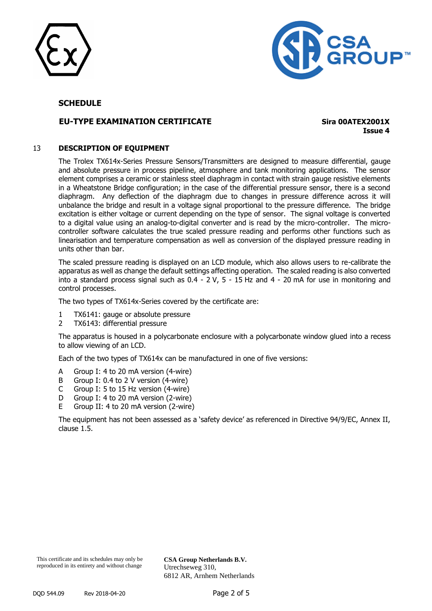



# **EU-TYPE EXAMINATION CERTIFICATE Sira 00ATEX2001X**

**Issue 4**

#### 13 **DESCRIPTION OF EQUIPMENT**

The Trolex TX614x-Series Pressure Sensors/Transmitters are designed to measure differential, gauge and absolute pressure in process pipeline, atmosphere and tank monitoring applications. The sensor element comprises a ceramic or stainless steel diaphragm in contact with strain gauge resistive elements in a Wheatstone Bridge configuration; in the case of the differential pressure sensor, there is a second diaphragm. Any deflection of the diaphragm due to changes in pressure difference across it will unbalance the bridge and result in a voltage signal proportional to the pressure difference. The bridge excitation is either voltage or current depending on the type of sensor. The signal voltage is converted to a digital value using an analog-to-digital converter and is read by the micro-controller. The microcontroller software calculates the true scaled pressure reading and performs other functions such as linearisation and temperature compensation as well as conversion of the displayed pressure reading in units other than bar.

The scaled pressure reading is displayed on an LCD module, which also allows users to re-calibrate the apparatus as well as change the default settings affecting operation. The scaled reading is also converted into a standard process signal such as 0.4 - 2 V, 5 - 15 Hz and 4 - 20 mA for use in monitoring and control processes.

The two types of TX614x-Series covered by the certificate are:

- 1 TX6141: gauge or absolute pressure
- 2 TX6143: differential pressure

The apparatus is housed in a polycarbonate enclosure with a polycarbonate window glued into a recess to allow viewing of an LCD.

Each of the two types of TX614x can be manufactured in one of five versions:

- A Group I: 4 to 20 mA version (4-wire)
- B Group I: 0.4 to 2 V version (4-wire)
- C Group I: 5 to 15 Hz version (4-wire)
- D Group I: 4 to 20 mA version (2-wire)
- E Group II: 4 to 20 mA version (2-wire)

The equipment has not been assessed as a 'safety device' as referenced in Directive 94/9/EC, Annex II, clause 1.5.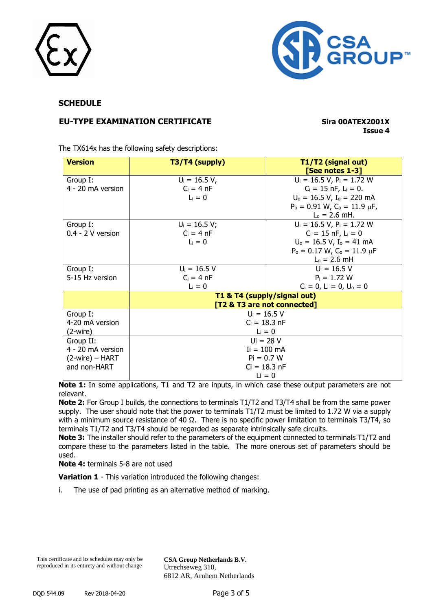



# **EU-TYPE EXAMINATION CERTIFICATE Sira 00ATEX2001X**

**Issue 4**

The TX614x has the following safety descriptions:

| <b>Version</b>                  | T3/T4 (supply)          | T1/T2 (signal out)<br>[See notes 1-3]                      |  |  |  |
|---------------------------------|-------------------------|------------------------------------------------------------|--|--|--|
| Group I:                        | $U_i = 16.5 V,$         | $U_i = 16.5 V, P_i = 1.72 W$                               |  |  |  |
| 4 - 20 mA version               | $C_i = 4 nF$            | $C_i = 15$ nF, $L_i = 0$ .                                 |  |  |  |
|                                 | $Li = 0$                | $U_0 = 16.5 V$ , $I_0 = 220 mA$                            |  |  |  |
|                                 |                         | $P_o = 0.91$ W, $C_o = 11.9$ $\mu$ F,                      |  |  |  |
|                                 |                         | $L_0 = 2.6$ mH.                                            |  |  |  |
| Group I:                        | $U_i = 16.5 V;$         | $U_i = 16.5 V, P_i = 1.72 W$                               |  |  |  |
| $0.4 - 2$ V version             | $C_i = 4 nF$            | $C_i = 15$ nF, $L_i = 0$                                   |  |  |  |
|                                 | $Li = 0$                | $U_0 = 16.5 V$ , $I_0 = 41 mA$                             |  |  |  |
|                                 |                         | $P_o = 0.17 W$ , $C_o = 11.9 \mu F$                        |  |  |  |
|                                 |                         | $L_0 = 2.6$ mH                                             |  |  |  |
| Group I:                        | $U_i = 16.5 V$          | $U_i = 16.5 V$                                             |  |  |  |
| 5-15 Hz version                 | $C_i = 4 nF$            | $P_i = 1.72 W$                                             |  |  |  |
|                                 | $L_i = 0$               | $C_i = 0$ , L <sub>i</sub> = 0, U <sub>o</sub> = 0         |  |  |  |
|                                 |                         | T1 & T4 (supply/signal out)<br>[T2 & T3 are not connected] |  |  |  |
| Group I:                        |                         | $U_i = 16.5 V$                                             |  |  |  |
| 4-20 mA version                 | $C_i = 18.3 \text{ nF}$ |                                                            |  |  |  |
| (2-wire)                        |                         | $L_i = 0$                                                  |  |  |  |
| Group II:                       | $Ui = 28 V$             |                                                            |  |  |  |
| 4 - 20 mA version               | $I = 100$ mA            |                                                            |  |  |  |
| $(2\text{-wire}) - \text{HART}$ | $Pi = 0.7 W$            |                                                            |  |  |  |
| and non-HART                    |                         | $Ci = 18.3 nF$                                             |  |  |  |
|                                 |                         | $Li = 0$                                                   |  |  |  |

**Note 1:** In some applications, T1 and T2 are inputs, in which case these output parameters are not relevant.

**Note 2:** For Group I builds, the connections to terminals T1/T2 and T3/T4 shall be from the same power supply. The user should note that the power to terminals T1/T2 must be limited to 1.72 W via a supply with a minimum source resistance of 40 Ω. There is no specific power limitation to terminals T3/T4, so terminals T1/T2 and T3/T4 should be regarded as separate intrinsically safe circuits.

**Note 3:** The installer should refer to the parameters of the equipment connected to terminals T1/T2 and compare these to the parameters listed in the table. The more onerous set of parameters should be used.

**Note 4:** terminals 5-8 are not used

**Variation 1** - This variation introduced the following changes:

i. The use of pad printing as an alternative method of marking.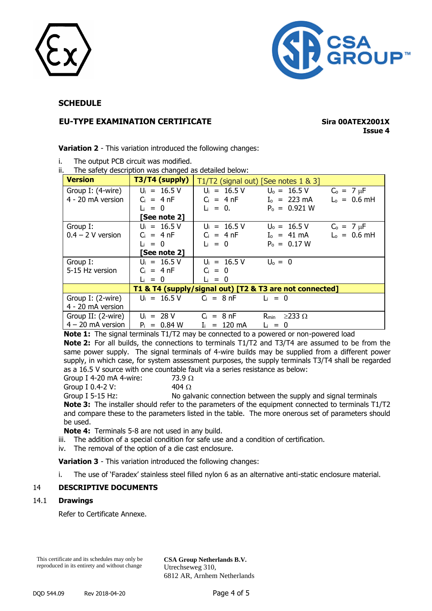



# **EU-TYPE EXAMINATION CERTIFICATE Sira 00ATEX2001X**

# **Issue 4**

**Variation 2** - This variation introduced the following changes:

- i. The output PCB circuit was modified.
- ii. The safety description was changed as detailed below:

| <b>Version</b>      | $\vert$ T3/T4 (supply) |                                                    | T1/T2 (signal out) [See notes 1 & 3]                    |                 |
|---------------------|------------------------|----------------------------------------------------|---------------------------------------------------------|-----------------|
| Group I: (4-wire)   | $U_i = 16.5 V$         |                                                    | $U_i = 16.5 V$ $U_o = 16.5 V$                           | $C_0 = 7 \mu F$ |
| 4 - 20 mA version   | $C_i = 4 nF$           |                                                    | $C_i = 4 nF$ $I_0 = 223 mA$                             | $L_0 = 0.6$ mH  |
|                     | $Li = 0$               | $L_i = 0.$                                         | $P_0 = 0.921 W$                                         |                 |
|                     | [See note 2]           |                                                    |                                                         |                 |
| Group I:            | $U_i = 16.5 V$         |                                                    | $U_i = 16.5 V$ $U_o = 16.5 V$                           | $C_0 = 7 \mu F$ |
| $0.4 - 2$ V version | $C_i = 4 nF$           |                                                    | $C_i = 4 nF$ $I_o = 41 mA$                              | $L_0 = 0.6$ mH  |
|                     | $\mathsf{L} = 0$       | $L_i = 0$                                          | $P_0 = 0.17 W$                                          |                 |
|                     | [See note 2]           |                                                    |                                                         |                 |
| Group I:            | $U_i = 16.5 V$         | $U_i = 16.5 V$ $U_o = 0$                           |                                                         |                 |
| 5-15 Hz version     | $C_i = 4 nF$           | $Ci = 0$                                           |                                                         |                 |
|                     | $L_i = 0$              | $\mathsf{L}_{i} = 0$                               |                                                         |                 |
|                     |                        |                                                    | T1 & T4 (supply/signal out) [T2 & T3 are not connected] |                 |
| Group I: (2-wire)   |                        | $U_i = 16.5 V$ $C_i = 8 nF$ $L_i = 0$              |                                                         |                 |
| 4 - 20 mA version   |                        |                                                    |                                                         |                 |
| Group II: (2-wire)  |                        | $U_i = 28 V$ $C_i = 8 nF$ $R_{min} \ge 233 \Omega$ |                                                         |                 |
| $4 - 20$ mA version |                        | $P_i = 0.84 W$ $I_i = 120 mA$                      | $\mathsf{L}_{i} = 0$                                    |                 |

**Note 1:** The signal terminals T1/T2 may be connected to a powered or non-powered load **Note 2:** For all builds, the connections to terminals T1/T2 and T3/T4 are assumed to be from the same power supply. The signal terminals of 4-wire builds may be supplied from a different power supply, in which case, for system assessment purposes, the supply terminals T3/T4 shall be regarded as a 16.5 V source with one countable fault via a series resistance as below:

Group I 4-20 mA 4-wire:  $73.9 \Omega$ 

Group I 0.4-2 V:  $404 \Omega$ 

Group I 5-15 Hz: No galvanic connection between the supply and signal terminals **Note 3:** The installer should refer to the parameters of the equipment connected to terminals T1/T2 and compare these to the parameters listed in the table. The more onerous set of parameters should be used.

**Note 4:** Terminals 5-8 are not used in any build.

- iii. The addition of a special condition for safe use and a condition of certification.
- iv. The removal of the option of a die cast enclosure.

**Variation 3** - This variation introduced the following changes:

i. The use of 'Faradex' stainless steel filled nylon 6 as an alternative anti-static enclosure material.

### 14 **DESCRIPTIVE DOCUMENTS**

#### 14.1 **Drawings**

Refer to Certificate Annexe.

This certificate and its schedules may only be reproduced in its entirety and without change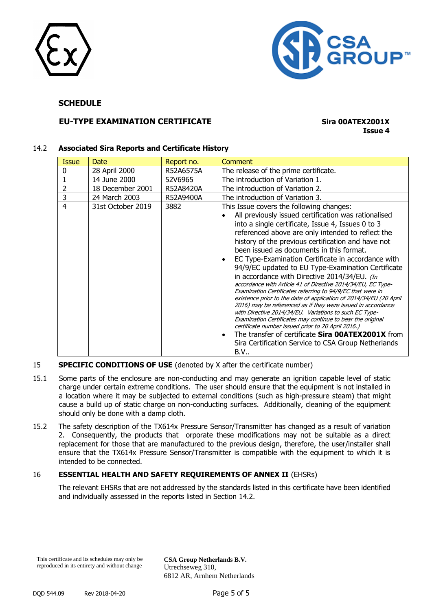



# **EU-TYPE EXAMINATION CERTIFICATE Sira 00ATEX2001X**

# **Issue 4**

#### 14.2 **Associated Sira Reports and Certificate History**

| <b>Issue</b>  | Date              | Report no. | Comment                                                                                                                                                                                                                                                                                                                                                                                                                                                                                                                                                                                                                                                                                                                                                                                                                                                                                                                                                                                                                                                           |
|---------------|-------------------|------------|-------------------------------------------------------------------------------------------------------------------------------------------------------------------------------------------------------------------------------------------------------------------------------------------------------------------------------------------------------------------------------------------------------------------------------------------------------------------------------------------------------------------------------------------------------------------------------------------------------------------------------------------------------------------------------------------------------------------------------------------------------------------------------------------------------------------------------------------------------------------------------------------------------------------------------------------------------------------------------------------------------------------------------------------------------------------|
| 0             | 28 April 2000     | R52A6575A  | The release of the prime certificate.                                                                                                                                                                                                                                                                                                                                                                                                                                                                                                                                                                                                                                                                                                                                                                                                                                                                                                                                                                                                                             |
|               | 14 June 2000      | 52V6965    | The introduction of Variation 1.                                                                                                                                                                                                                                                                                                                                                                                                                                                                                                                                                                                                                                                                                                                                                                                                                                                                                                                                                                                                                                  |
| $\mathcal{P}$ | 18 December 2001  | R52A8420A  | The introduction of Variation 2.                                                                                                                                                                                                                                                                                                                                                                                                                                                                                                                                                                                                                                                                                                                                                                                                                                                                                                                                                                                                                                  |
| 3             | 24 March 2003     | R52A9400A  | The introduction of Variation 3.                                                                                                                                                                                                                                                                                                                                                                                                                                                                                                                                                                                                                                                                                                                                                                                                                                                                                                                                                                                                                                  |
| 4             | 31st October 2019 | 3882       | This Issue covers the following changes:<br>All previously issued certification was rationalised<br>into a single certificate, Issue 4, Issues 0 to 3<br>referenced above are only intended to reflect the<br>history of the previous certification and have not<br>been issued as documents in this format.<br>EC Type-Examination Certificate in accordance with<br>94/9/EC updated to EU Type-Examination Certificate<br>in accordance with Directive 2014/34/EU. (In<br>accordance with Article 41 of Directive 2014/34/EU, EC Type-<br>Examination Certificates referring to 94/9/EC that were in<br>existence prior to the date of application of 2014/34/EU (20 April<br>2016) may be referenced as if they were issued in accordance<br>with Directive 2014/34/EU. Variations to such EC Type-<br>Examination Certificates may continue to bear the original<br>certificate number issued prior to 20 April 2016.)<br>The transfer of certificate Sira 00ATEX2001X from<br>$\bullet$<br>Sira Certification Service to CSA Group Netherlands<br><b>B.V</b> |

#### **SPECIFIC CONDITIONS OF USE** (denoted by X after the certificate number)

- 15.1 Some parts of the enclosure are non-conducting and may generate an ignition capable level of static charge under certain extreme conditions. The user should ensure that the equipment is not installed in a location where it may be subjected to external conditions (such as high-pressure steam) that might cause a build up of static charge on non-conducting surfaces. Additionally, cleaning of the equipment should only be done with a damp cloth.
- 15.2 The safety description of the TX614x Pressure Sensor/Transmitter has changed as a result of variation 2. Consequently, the products that orporate these modifications may not be suitable as a direct replacement for those that are manufactured to the previous design, therefore, the user/installer shall ensure that the TX614x Pressure Sensor/Transmitter is compatible with the equipment to which it is intended to be connected.

#### 16 **ESSENTIAL HEALTH AND SAFETY REQUIREMENTS OF ANNEX II** (EHSRs)

The relevant EHSRs that are not addressed by the standards listed in this certificate have been identified and individually assessed in the reports listed in Section 14.2.

This certificate and its schedules may only be reproduced in its entirety and without change